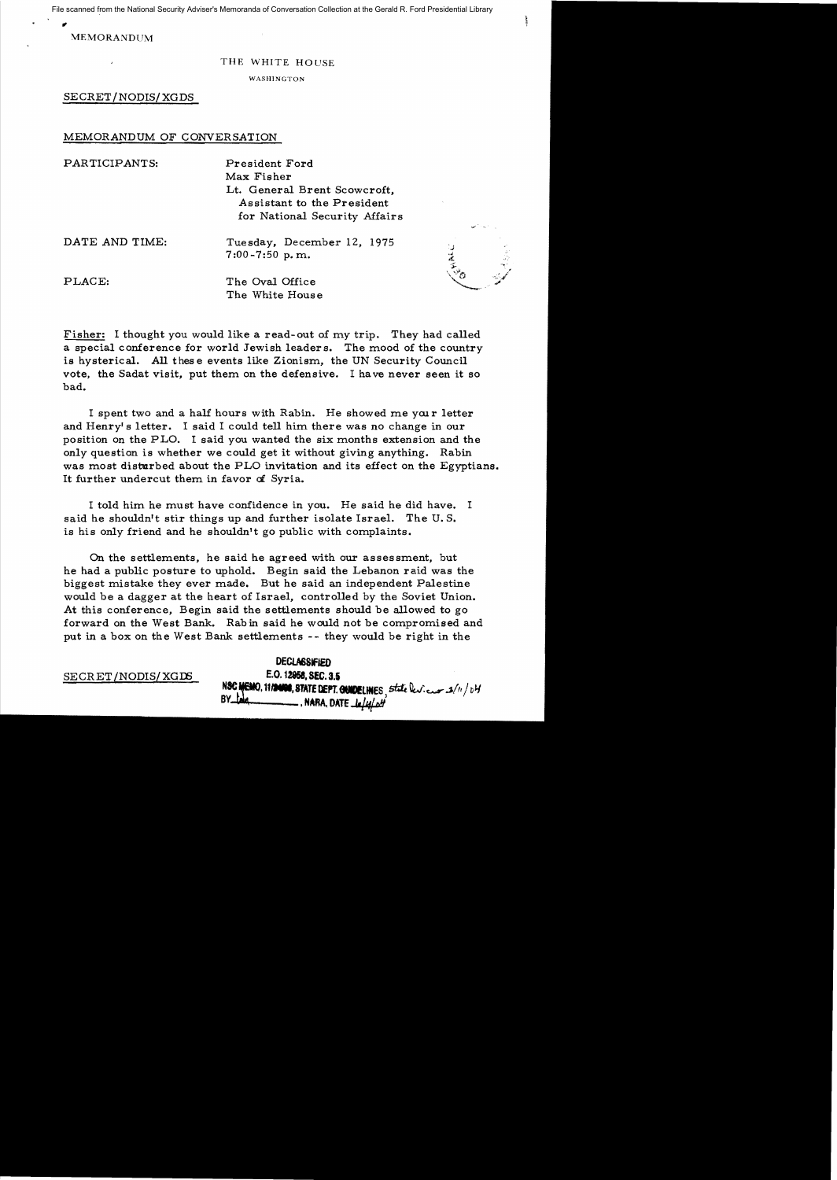File scanned from the National Security Adviser's Memoranda of Conversation Collection at the Gerald R. Ford Presidential Library

" MEMORANDUM

## THE WHITE HOUSE

WASHINGTON

SECRET/NODIS/XGDS

## MEMORANDUM OF CONVERSATION

| PARTICIPANTS:  | President Ford<br>Max Fisher<br>Lt. General Brent Scowcroft,<br>Assistant to the President |           |
|----------------|--------------------------------------------------------------------------------------------|-----------|
|                | for National Security Affairs                                                              | ل المسمول |
| DATE AND TIME: | Tuesday, December 12, 1975<br>$7:00 - 7:50$ p.m.                                           | 蓋         |
| PLACE:         | The Oval Office<br>The White House                                                         |           |

Fisher: I thought you would like a read-out of my trip. They had called a special conference for world Jewish leaders. The mood of the country is hysterical. All these events like Zionism, the UN Security Council vote, the Sadat visit, put them on the defensive. I have never seen it so bad.

I spent two and a half hours with Rabin. He showed me your letter and Henry's letter. I said I could tell him there was no change in our position on the PLO. I said you wanted the six months extension and the only question is whether we could get it without giving anything. Rabin was most disturbed about the PLO invitation and its effect on the Egyptians. It further undercut them in favor of Syria.

I told him he must have confidence in you. He said he did have. I said he shouldn't stir things up and further isolate Israel. The U. S. is his only friend and he shouldn't go public with complaints.

On the settlements, he said he agreed with our assessment, but he had a public posture to uphold. Begin said the Lebanon raid was the biggest mistake they ever made. But he said an independent Palestine would be a dagger at the heart of Israel, controlled by the Soviet Union. At this conference, Begin said the settlements should be allowed to go forward on the West Bank. Rabin said he would not be compromised and put in a box on the West Bank settlements -- they would be right in the

DECLASSIFIED SECRET/NODIS/XGDS **E.O. 12958, SEC. 3.5** NSC MEMO, 11/2000, STATE DEPT. CONDELINES, state leviews  $\frac{1}{2}$ /11/04 **By Extra**, DATE *In/4/01*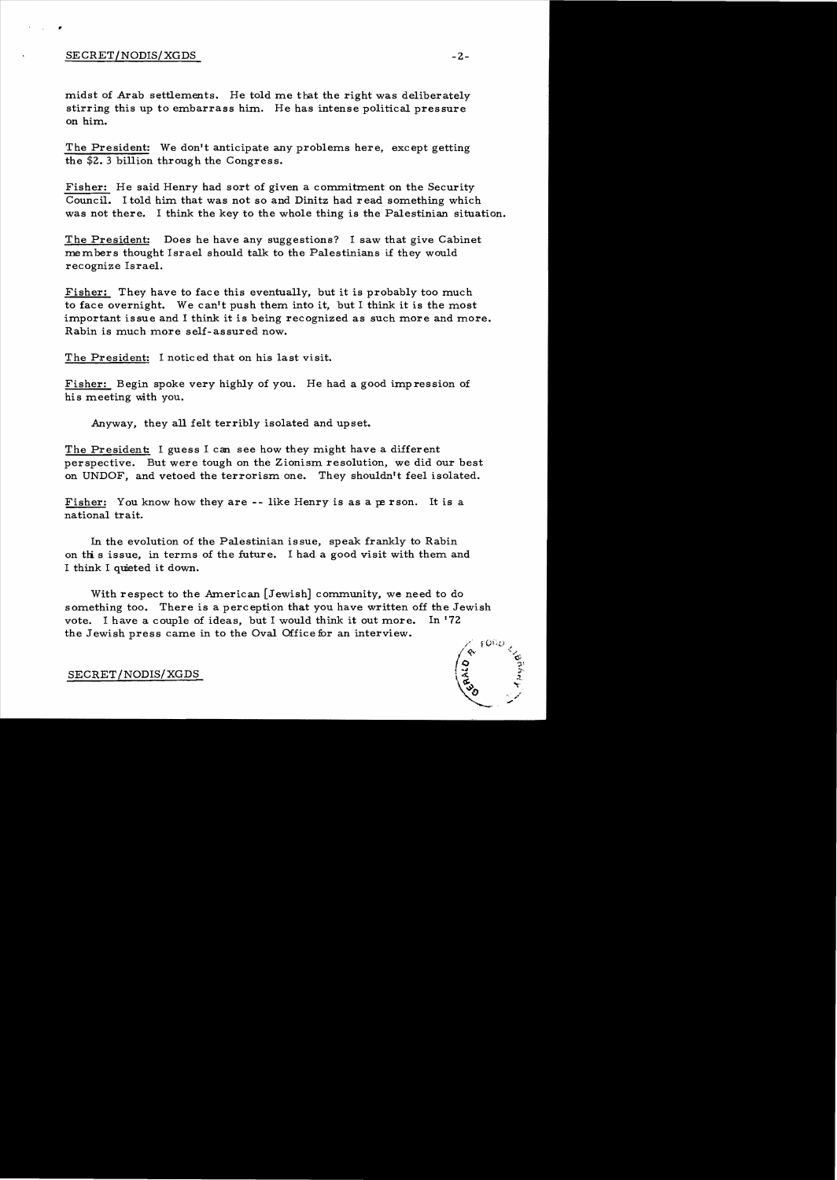## SECRET/NODIS/XGDS -2-

..

midst of Arab settlements. He told me that the right was deliberately stirring this up to embarrass him. He has intense political pressure on him.

The President: We don't anticipate any problems here, except getting the \$2.3 billion through the Congress.

Fisher: He said Henry had sort of given a commitment on the Security Council. I told him that was not so and Dinitz had read something which was not there. I think the key to the whole thing is the Palestinian situation.

The President: Does he have any suggestions? I saw that give Cabinet members thought Israel should talk to the Palestinians if they would recognize Israel.

Fisher: They have to face this eventually, but it is probably too much to face overnight. We can't push them into it, but I think it is the most important issue and I think it is being recognized as such more and more. Rabin is much more self-assured now.

The President: I noticed that on his last visit.

Fisher: Begin spoke very highly of you. He had a good impression of his meeting with you.

Anyway, they all felt terribly isolated and upset.

The President: I guess I can see how they might have a different perspective. But were tough on the Zionism resolution, we did our best on UNDOF, and vetoed the terrorism one. They shouldn't feel isolated.

Fisher: You know how they are -- like Henry is as a person. It is a national trait.

In the evolution of the Palestinian issue, speak frankly to Rabin on this issue, in terms of the future. I had a good visit with them and I think I quieted it down.

With respect to the American [Jewish] community, we need to do something too. There is a perception that you have written off the Jewish vote. I have a couple of ideas, but I would think it out more. In '72 the Jewish press came in to the Oval Office for an interview.

SECRET/NODIS/XGDS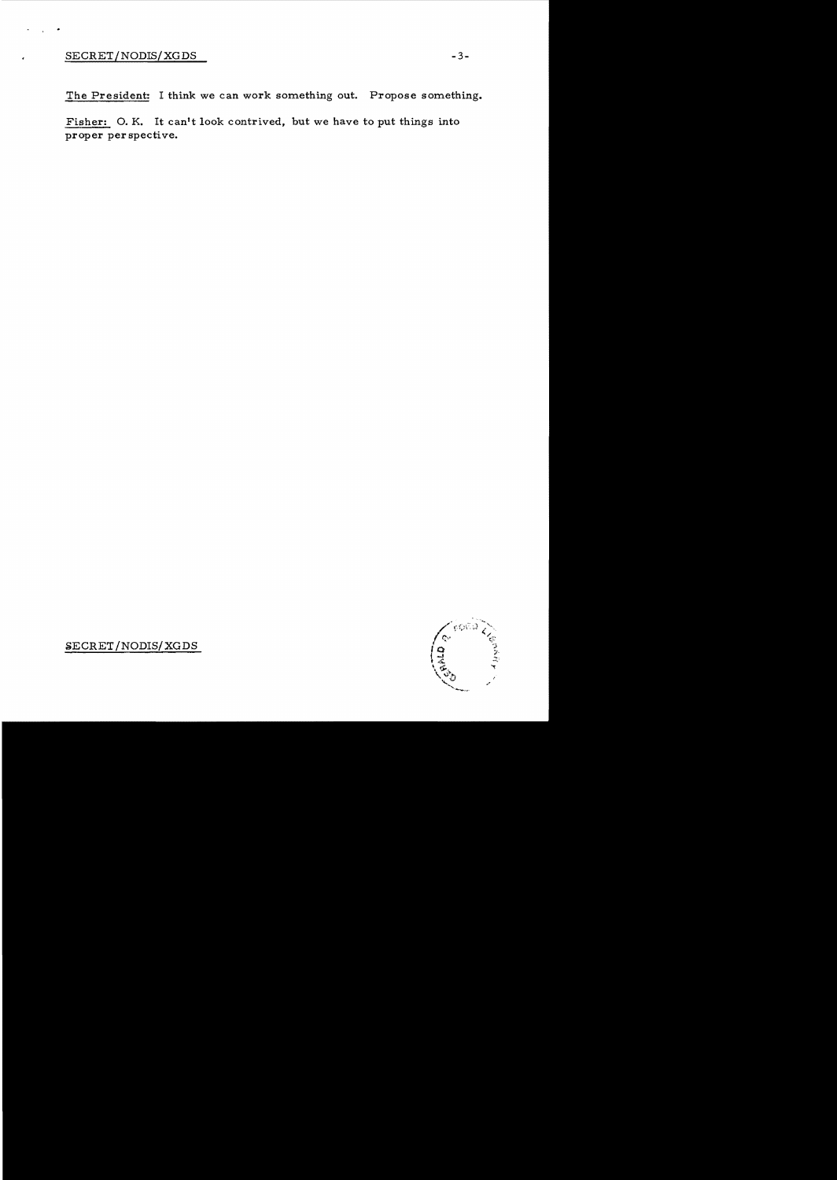The President: I think we can work something out. Propose something.

Fisher: O. K. It can't look contrived, but we have to put things into proper perspective.

> coño **CONSO**

SECRET/NODIS/XGDS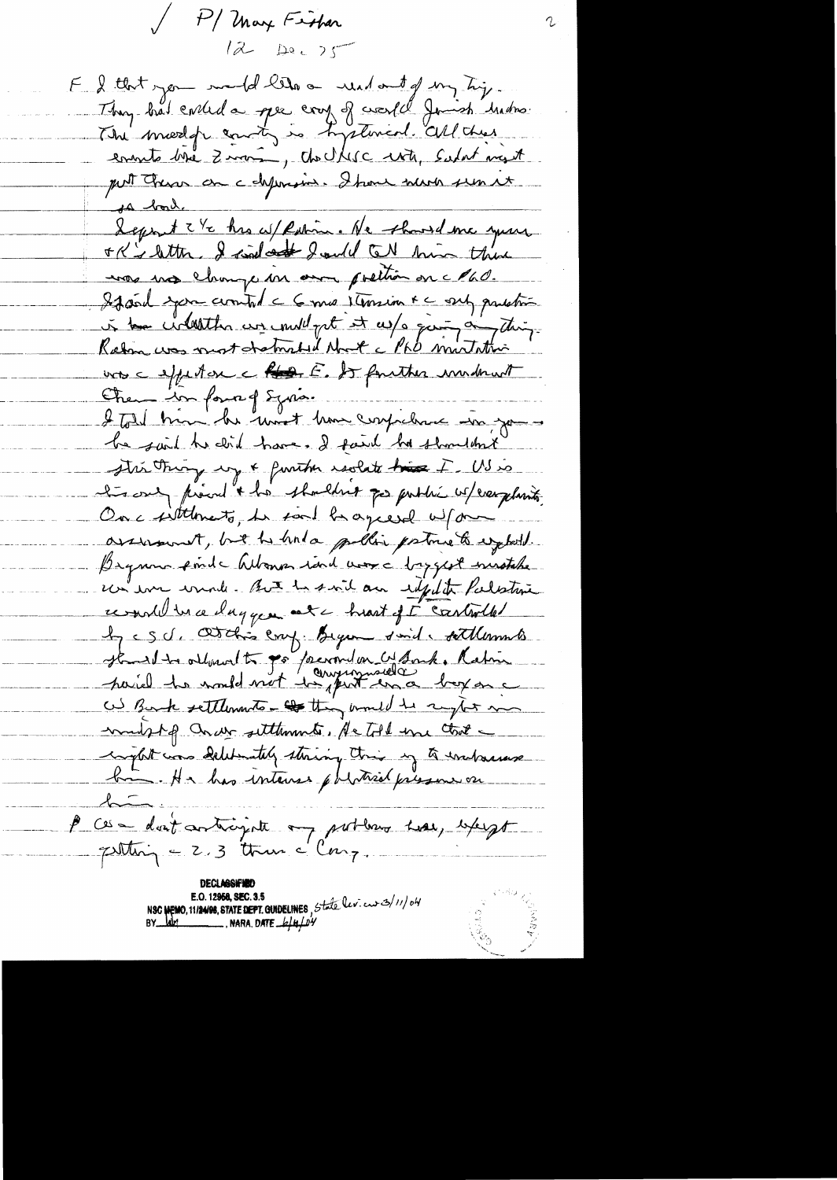P/ May Fisher  $1222225$ F & that you muld let a need and of my tip. They had eviled a per coup of coastel Joinsh broken. ensuite bise Zimma, the Ulisc with, Salat myt put Chen on chprusin. I have never seen et <u>sa boule</u> Lepont 2 et his affention. He showed me your ok's letter. I said out I will tell him there unos mos change un anos poettión on c Phd. If soil you counted a 6 min 1 terrior + c sub problem à text circuit de comment et ce part à partir uros e effectose e Roos E. So factores invident Chen informed Syrian I told hun he won't have confidence in your he said the clid have. I fait he shouldn't stri trong up & further realate his F. US is ter one, proud & his shouldnot go public where plants On a sittlements, he said be agreed without assument, but he had pulling portous to expect. Bequino finds Whoma rand was a baggest ministate. un im wind . But he said an edfect Palestine remail des ce dagger est chront et controlle le c S d. Obtline emp. Bycan don't titlements as Bank settlements - they und he sight man mulphp ander settlements, He told une that inglet was deleterately straing this in to inchasine bin. He has interes physical pressure on P ces dont articipate on portema mai, except  $pulting = 2.3$  then  $e^{i\ln\frac{1}{2}}$ . NSC MEMO, 11/24/98, STATE DEPT. GUIDELINES, State lev. cur 3/11/04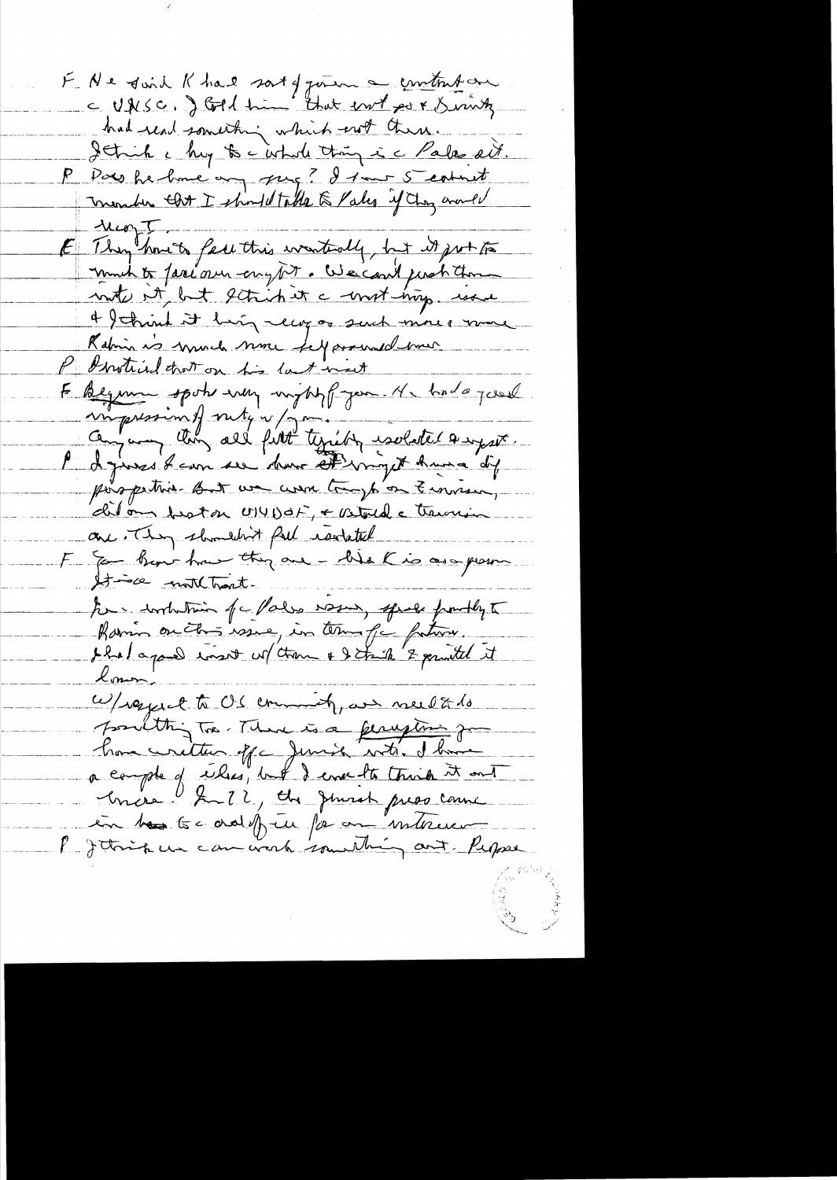E Ne doid Khal sort of gener a contribar had read something which not there. I think a huy to a whole thing is a Pala ait. P Paro he have any pag? I tour 5 count meander that I should take & Pales if they would  $\mu_{\text{top}}$ E They have be feel this wanterly, but it just to much to fariour englist. We could just thou water at but getrich it a worst map. were 4 think it hig recog or such more more Rabin is much none felparenaed mer P Instinct that on his last next E Beginne spoke every important you the had a posse miguession of sutgin / 1 million isolated a system le dépares dans se dans et vigét huisa dif perspective but we want trap on Emmera dition tratan U141) ot, + Vetode transin one They shouldn't full restated F & Ban-how they are - We K is as grown Itisce moltomate to contribution of c Pales was passe from the famin on this wave, in terms of fature. Loner W/regard to OS commonly we need to do soulthing too There is a ferrytime go a compte of eiles, but I cover to trink it out Encre l'Infant, du Junior priso connu en bos toc adoptu fa on interesse Put think we can work something out Peppe